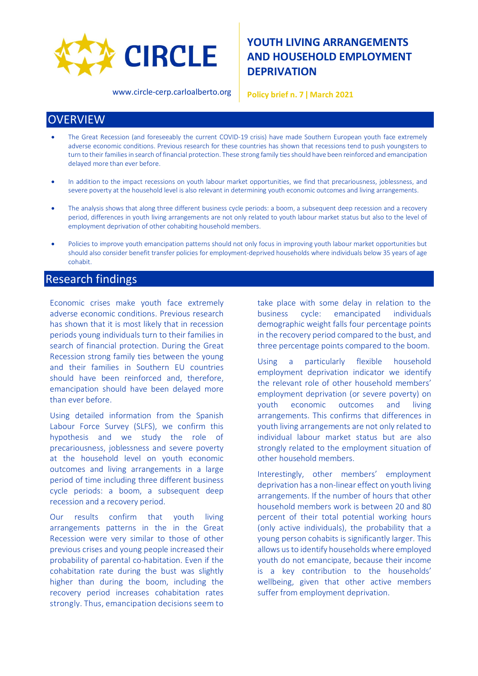

**YOUTH LIVING ARRANGEMENTS AND HOUSEHOLD EMPLOYMENT DEPRIVATION**

www.circle-cerp.carloalberto.org

**Policy brief n. 7 ǀ March 2021**

### **OVERVIEW**

- The Great Recession (and foreseeably the current COVID-19 crisis) have made Southern European youth face extremely adverse economic conditions. Previous research for these countries has shown that recessions tend to push youngsters to turn to their families in search of financial protection. These strong family tiesshould have been reinforced and emancipation delayed more than ever before.
- In addition to the impact recessions on youth labour market opportunities, we find that precariousness, joblessness, and severe poverty at the household level is also relevant in determining youth economic outcomes and living arrangements.
- The analysis shows that along three different business cycle periods: a boom, a subsequent deep recession and a recovery period, differences in youth living arrangements are not only related to youth labour market status but also to the level of employment deprivation of other cohabiting household members.
- Policies to improve youth emancipation patterns should not only focus in improving youth labour market opportunities but should also consider benefit transfer policies for employment-deprived households where individuals below 35 years of age cohabit.

#### Research findings

Economic crises make youth face extremely adverse economic conditions. Previous research has shown that it is most likely that in recession periods young individuals turn to their families in search of financial protection. During the Great Recession strong family ties between the young and their families in Southern EU countries should have been reinforced and, therefore, emancipation should have been delayed more than ever before.

Using detailed information from the Spanish Labour Force Survey (SLFS), we confirm this hypothesis and we study the role of precariousness, joblessness and severe poverty at the household level on youth economic outcomes and living arrangements in a large period of time including three different business cycle periods: a boom, a subsequent deep recession and a recovery period.

Our results confirm that youth living arrangements patterns in the in the Great Recession were very similar to those of other previous crises and young people increased their probability of parental co-habitation. Even if the cohabitation rate during the bust was slightly higher than during the boom, including the recovery period increases cohabitation rates strongly. Thus, emancipation decisions seem to

take place with some delay in relation to the business cycle: emancipated individuals demographic weight falls four percentage points in the recovery period compared to the bust, and three percentage points compared to the boom.

Using a particularly flexible household employment deprivation indicator we identify the relevant role of other household members' employment deprivation (or severe poverty) on youth economic outcomes and living arrangements. This confirms that differences in youth living arrangements are not only related to individual labour market status but are also strongly related to the employment situation of other household members.

Interestingly, other members' employment deprivation has a non-linear effect on youth living arrangements. If the number of hours that other household members work is between 20 and 80 percent of their total potential working hours (only active individuals), the probability that a young person cohabits is significantly larger. This allows us to identify households where employed youth do not emancipate, because their income is a key contribution to the households' wellbeing, given that other active members suffer from employment deprivation.